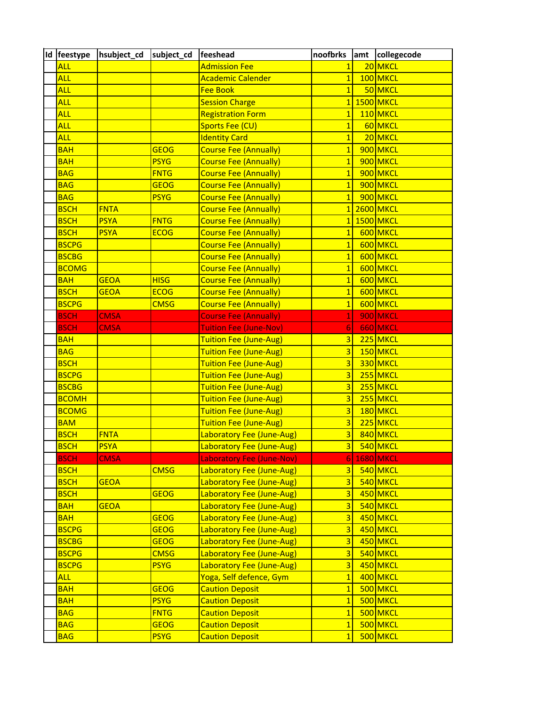| Id feestype      | hsubject_cd subject_cd |             | feeshead                         | noofbrks                | amt collegecode  |
|------------------|------------------------|-------------|----------------------------------|-------------------------|------------------|
| <b>ALL</b>       |                        |             | <b>Admission Fee</b>             | $\mathbf{1}$            | 20 MKCL          |
| <b>ALL</b>       |                        |             | <b>Academic Calender</b>         | $\overline{1}$          | 100 MKCL         |
| <b>ALL</b>       |                        |             | <b>Fee Book</b>                  | $\overline{1}$          | 50 MKCL          |
| <u>ALL</u>       |                        |             | <b>Session Charge</b>            | $\overline{1}$          | 1500 MKCL        |
| <mark>ALL</mark> |                        |             | <b>Registration Form</b>         | $\mathbf{1}$            | 110 MKCL         |
| <b>ALL</b>       |                        |             | <b>Sports Fee (CU)</b>           | $\mathbf{1}$            | 60 MKCL          |
| <b>ALL</b>       |                        |             | <b>Identity Card</b>             | $\overline{1}$          | 20 MKCL          |
| <b>BAH</b>       |                        | <b>GEOG</b> | <b>Course Fee (Annually)</b>     | $\overline{1}$          | 900 MKCL         |
| <b>BAH</b>       |                        | <b>PSYG</b> | Course Fee (Annually)            | $\overline{1}$          | 900 MKCL         |
| <b>BAG</b>       |                        | <b>FNTG</b> | <b>Course Fee (Annually)</b>     | $\overline{1}$          | 900 MKCL         |
| <b>BAG</b>       |                        | <b>GEOG</b> | <b>Course Fee (Annually)</b>     | $\overline{1}$          | 900 MKCL         |
| <b>BAG</b>       |                        | <b>PSYG</b> | <b>Course Fee (Annually)</b>     | $\overline{1}$          | 900 MKCL         |
| <b>BSCH</b>      | <b>FNTA</b>            |             | <b>Course Fee (Annually)</b>     | $\overline{1}$          | 2600 MKCL        |
| <b>BSCH</b>      | <b>PSYA</b>            | <b>FNTG</b> | <b>Course Fee (Annually)</b>     | $\mathbf{1}$            | 1500 MKCL        |
| <b>BSCH</b>      | <b>PSYA</b>            | <b>ECOG</b> | <b>Course Fee (Annually)</b>     | $\mathbf{1}$            | 600 MKCL         |
| <b>BSCPG</b>     |                        |             | <b>Course Fee (Annually)</b>     | $\overline{1}$          | 600 MKCL         |
| <b>BSCBG</b>     |                        |             | <b>Course Fee (Annually)</b>     | $\overline{1}$          | 600 MKCL         |
| <b>BCOMG</b>     |                        |             | <b>Course Fee (Annually)</b>     | $\overline{1}$          | 600 MKCL         |
| <b>BAH</b>       | <b>GEOA</b>            | <b>HISG</b> | <b>Course Fee (Annually)</b>     | $\overline{1}$          | 600 MKCL         |
| <b>BSCH</b>      | <b>GEOA</b>            | <b>ECOG</b> | <b>Course Fee (Annually)</b>     | $\overline{1}$          | 600 MKCL         |
| <b>BSCPG</b>     |                        | <b>CMSG</b> | <b>Course Fee (Annually)</b>     | $\overline{1}$          | 600 MKCL         |
| <b>BSCH</b>      | <b>CMSA</b>            |             | <b>Course Fee (Annually)</b>     | 1                       | 900 MKCL         |
| <b>BSCH</b>      | <b>CMSA</b>            |             | <b>Tuition Fee (June-Nov)</b>    | 6                       | 660 MKCL         |
| <b>BAH</b>       |                        |             | <b>Tuition Fee (June-Aug)</b>    | $\overline{3}$          | 225 MKCL         |
| <b>BAG</b>       |                        |             | <b>Tuition Fee (June-Aug)</b>    | $\overline{3}$          | 150 MKCL         |
| <b>BSCH</b>      |                        |             | <b>Tuition Fee (June-Aug)</b>    | $\overline{3}$          | 330 MKCL         |
| <b>BSCPG</b>     |                        |             | Tuition Fee (June-Aug)           | $\overline{3}$          | 255 MKCL         |
| <b>BSCBG</b>     |                        |             | <b>Tuition Fee (June-Aug)</b>    | $\overline{3}$          | 255 MKCL         |
| <b>BCOMH</b>     |                        |             | <b>Tuition Fee (June-Aug)</b>    | 3                       | 255 MKCL         |
| <b>BCOMG</b>     |                        |             | Tuition Fee (June-Aug)           | $\overline{3}$          | 180 MKCL         |
| <b>BAM</b>       |                        |             | <b>Tuition Fee (June-Aug)</b>    | $\overline{3}$          | 225 MKCL         |
| <b>BSCH</b>      | <b>FNTA</b>            |             | Laboratory Fee (June-Aug)        | 3                       | 840 MKCL         |
| <b>BSCH</b>      | <b>PSYA</b>            |             | Laboratory Fee (June-Aug)        | $\overline{3}$          | 540 MKCL         |
| <b>BSCH</b>      | <b>CMSA</b>            |             | <b>Laboratory Fee (June-Nov)</b> | 61                      | <b>1680 MKCL</b> |
| <b>BSCH</b>      |                        | <b>CMSG</b> | Laboratory Fee (June-Aug)        | $\overline{3}$          | 540 MKCL         |
| <b>BSCH</b>      | <b>GEOA</b>            |             | Laboratory Fee (June-Aug)        | $\overline{3}$          | 540 MKCL         |
| <b>BSCH</b>      |                        | <b>GEOG</b> | Laboratory Fee (June-Aug)        | $\overline{\mathbf{3}}$ | 450 MKCL         |
| <b>BAH</b>       | <b>GEOA</b>            |             | Laboratory Fee (June-Aug)        | $\overline{3}$          | 540 MKCL         |
| <b>BAH</b>       |                        | <b>GEOG</b> | Laboratory Fee (June-Aug)        | $\overline{3}$          | 450 MKCL         |
| <b>BSCPG</b>     |                        | <b>GEOG</b> | Laboratory Fee (June-Aug)        | $\overline{3}$          | 450 MKCL         |
| <b>BSCBG</b>     |                        | <b>GEOG</b> | Laboratory Fee (June-Aug)        | $\overline{3}$          | 450 MKCL         |
| <b>BSCPG</b>     |                        | <b>CMSG</b> | Laboratory Fee (June-Aug)        | $\overline{3}$          | 540 MKCL         |
| <b>BSCPG</b>     |                        | <b>PSYG</b> | Laboratory Fee (June-Aug)        | $\overline{3}$          | 450 MKCL         |
| <b>ALL</b>       |                        |             | Yoga, Self defence, Gym          | $\overline{1}$          | 400 MKCL         |
| <b>BAH</b>       |                        | <b>GEOG</b> | <b>Caution Deposit</b>           | $\mathbf{1}$            | 500 MKCL         |
| <b>BAH</b>       |                        | <b>PSYG</b> | <b>Caution Deposit</b>           | $\overline{1}$          | 500 MKCL         |
| <b>BAG</b>       |                        | <b>FNTG</b> | <b>Caution Deposit</b>           | $\overline{1}$          | 500 MKCL         |
| <b>BAG</b>       |                        | <b>GEOG</b> | <b>Caution Deposit</b>           | $\overline{1}$          | 500 MKCL         |
| <b>BAG</b>       |                        | <b>PSYG</b> | <b>Caution Deposit</b>           | $\mathbf{1}$            | 500 MKCL         |